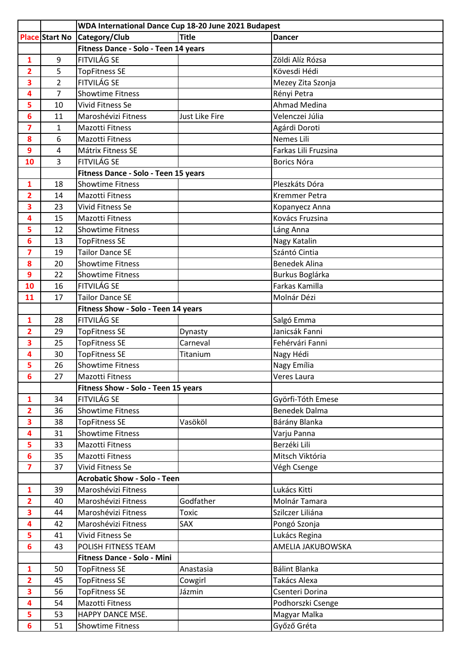|                         |                | WDA International Dance Cup 18-20 June 2021 Budapest |                |                      |
|-------------------------|----------------|------------------------------------------------------|----------------|----------------------|
|                         | Place Start No | Category/Club                                        | <b>Title</b>   | <b>Dancer</b>        |
|                         |                | Fitness Dance - Solo - Teen 14 years                 |                |                      |
| 1                       | 9              | FITVILÁG SE                                          |                | Zöldi Alíz Rózsa     |
| $\overline{2}$          | 5              | <b>TopFitness SE</b>                                 |                | Kövesdi Hédi         |
| 3                       | 2              | FITVILÁG SE                                          |                | Mezey Zita Szonja    |
| 4                       | 7              | <b>Showtime Fitness</b>                              |                | Rényi Petra          |
| 5                       | 10             | Vivid Fitness Se                                     |                | <b>Ahmad Medina</b>  |
| 6                       | 11             | Maroshévizi Fitness                                  | Just Like Fire | Velenczei Júlia      |
| $\overline{\mathbf{z}}$ | 1              | <b>Mazotti Fitness</b>                               |                | Agárdi Doroti        |
| 8                       | 6              | <b>Mazotti Fitness</b>                               |                | Nemes Lili           |
| 9                       | 4              | Mátrix Fitness SE                                    |                | Farkas Lili Fruzsina |
| 10                      | 3              | FITVILÁG SE                                          |                | Borics Nóra          |
|                         |                | Fitness Dance - Solo - Teen 15 years                 |                |                      |
| $\mathbf{1}$            | 18             | <b>Showtime Fitness</b>                              |                | Pleszkáts Dóra       |
| $\overline{2}$          | 14             | <b>Mazotti Fitness</b>                               |                | <b>Kremmer Petra</b> |
| 3                       | 23             | <b>Vivid Fitness Se</b>                              |                | Kopanyecz Anna       |
| 4                       | 15             | <b>Mazotti Fitness</b>                               |                | Kovács Fruzsina      |
| 5                       | 12             | <b>Showtime Fitness</b>                              |                | Láng Anna            |
| 6                       | 13             | <b>TopFitness SE</b>                                 |                | Nagy Katalin         |
| $\overline{\mathbf{z}}$ | 19             | <b>Tailor Dance SE</b>                               |                | Szántó Cintia        |
| 8                       | 20             | <b>Showtime Fitness</b>                              |                | <b>Benedek Alina</b> |
| 9                       | 22             | <b>Showtime Fitness</b>                              |                | Burkus Boglárka      |
| 10                      | 16             | <b>FITVILÁG SE</b>                                   |                | Farkas Kamilla       |
| 11                      | 17             | <b>Tailor Dance SE</b>                               |                | Molnár Dézi          |
|                         |                | Fitness Show - Solo - Teen 14 years                  |                |                      |
| $\mathbf{1}$            | 28             | <b>FITVILÁG SE</b>                                   |                | Salgó Emma           |
| $\overline{2}$          | 29             | <b>TopFitness SE</b>                                 | Dynasty        | Janicsák Fanni       |
| 3                       | 25             | <b>TopFitness SE</b>                                 | Carneval       | Fehérvári Fanni      |
| 4                       | 30             | <b>TopFitness SE</b>                                 | Titanium       | Nagy Hédi            |
| 5                       | 26             | <b>Showtime Fitness</b>                              |                | Nagy Emília          |
| 6                       | 27             | <b>Mazotti Fitness</b>                               |                | Veres Laura          |
|                         |                | Fitness Show - Solo - Teen 15 years                  |                |                      |
| $\mathbf{1}$            | 34             | <b>FITVILÁG SE</b>                                   |                | Györfi-Tóth Emese    |
| $\overline{2}$          | 36             | <b>Showtime Fitness</b>                              |                | <b>Benedek Dalma</b> |
| 3                       | 38             | <b>TopFitness SE</b>                                 | Vasököl        | Bárány Blanka        |
| 4                       | 31             | <b>Showtime Fitness</b>                              |                | Varju Panna          |
| 5                       | 33             | <b>Mazotti Fitness</b>                               |                | Berzéki Lili         |
| $6\phantom{1}$          | 35             | <b>Mazotti Fitness</b>                               |                | Mitsch Viktória      |
| $\overline{\mathbf{z}}$ | 37             | Vivid Fitness Se                                     |                | Végh Csenge          |
|                         |                | <b>Acrobatic Show - Solo - Teen</b>                  |                |                      |
| $\mathbf{1}$            | 39             | Maroshévizi Fitness                                  |                | Lukács Kitti         |
| $\overline{2}$          | 40             | Maroshévizi Fitness                                  | Godfather      | Molnár Tamara        |
| 3                       | 44             | Maroshévizi Fitness                                  | <b>Toxic</b>   | Szilczer Liliána     |
| 4                       | 42             | Maroshévizi Fitness                                  | SAX            | Pongó Szonja         |
| 5                       | 41             | Vivid Fitness Se                                     |                | Lukács Regina        |
| 6                       | 43             | POLISH FITNESS TEAM                                  |                | AMELIA JAKUBOWSKA    |
|                         |                | Fitness Dance - Solo - Mini                          |                |                      |
| $\mathbf{1}$            | 50             | <b>TopFitness SE</b>                                 | Anastasia      | Bálint Blanka        |
| $\overline{2}$          | 45             | <b>TopFitness SE</b>                                 | Cowgirl        | Takács Alexa         |
| 3                       | 56             | <b>TopFitness SE</b>                                 | Jázmin         | Csenteri Dorina      |
| 4                       | 54             | <b>Mazotti Fitness</b>                               |                | Podhorszki Csenge    |
| 5                       | 53             | HAPPY DANCE MSE.                                     |                | Magyar Malka         |
| $6\phantom{1}$          | 51             | <b>Showtime Fitness</b>                              |                | Győző Gréta          |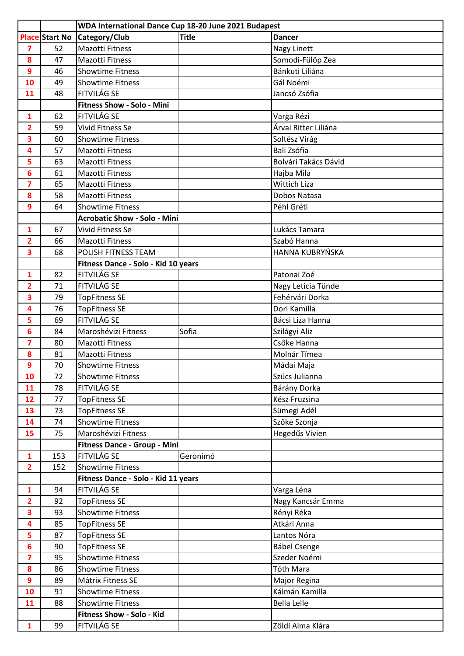|                         |                       | WDA International Dance Cup 18-20 June 2021 Budapest |              |                      |
|-------------------------|-----------------------|------------------------------------------------------|--------------|----------------------|
|                         | <b>Place Start No</b> | Category/Club                                        | <b>Title</b> | <b>Dancer</b>        |
| $\overline{\mathbf{z}}$ | 52                    | <b>Mazotti Fitness</b>                               |              | Nagy Linett          |
| 8                       | 47                    | <b>Mazotti Fitness</b>                               |              | Somodi-Fülöp Zea     |
| 9                       | 46                    | <b>Showtime Fitness</b>                              |              | Bánkuti Liliána      |
| 10                      | 49                    | <b>Showtime Fitness</b>                              |              | Gál Noémi            |
| 11                      | 48                    | <b>FITVILÁG SE</b>                                   |              | Jancsó Zsófia        |
|                         |                       | <b>Fitness Show - Solo - Mini</b>                    |              |                      |
| $\mathbf{1}$            | 62                    | <b>FITVILÁG SE</b>                                   |              | Varga Rézi           |
| 2                       | 59                    | Vivid Fitness Se                                     |              | Árvai Ritter Liliána |
| 3                       | 60                    | <b>Showtime Fitness</b>                              |              | Soltész Virág        |
| 4                       | 57                    | <b>Mazotti Fitness</b>                               |              | Bali Zsófia          |
| 5                       | 63                    | <b>Mazotti Fitness</b>                               |              | Bolvári Takács Dávid |
| 6                       | 61                    | <b>Mazotti Fitness</b>                               |              | Hajba Mila           |
| 7                       | 65                    | <b>Mazotti Fitness</b>                               |              | <b>Wittich Liza</b>  |
| 8                       | 58                    | Mazotti Fitness                                      |              | Dobos Natasa         |
| 9                       | 64                    | <b>Showtime Fitness</b>                              |              | Péhl Gréti           |
|                         |                       | <b>Acrobatic Show - Solo - Mini</b>                  |              |                      |
| 1                       | 67                    | Vivid Fitness Se                                     |              | Lukács Tamara        |
| $\overline{2}$          | 66                    | <b>Mazotti Fitness</b>                               |              | Szabó Hanna          |
| 3                       | 68                    | POLISH FITNESS TEAM                                  |              | HANNA KUBRYŃSKA      |
|                         |                       | Fitness Dance - Solo - Kid 10 years                  |              |                      |
| $\mathbf{1}$            | 82                    | <b>FITVILÁG SE</b>                                   |              | Patonai Zoé          |
| $\overline{2}$          | 71                    | <b>FITVILÁG SE</b>                                   |              | Nagy Letícia Tünde   |
| 3                       | 79                    | <b>TopFitness SE</b>                                 |              | Fehérvári Dorka      |
| 4                       | 76                    | <b>TopFitness SE</b>                                 |              | Dori Kamilla         |
| 5                       | 69                    | FITVILÁG SE                                          |              | Bácsi Liza Hanna     |
| 6                       | 84                    | Maroshévizi Fitness                                  | Sofia        | Szilágyi Aliz        |
| $\overline{\mathbf{z}}$ | 80                    | <b>Mazotti Fitness</b>                               |              | Csőke Hanna          |
| 8                       | 81                    | <b>Mazotti Fitness</b>                               |              | Molnár Tímea         |
| 9                       | 70                    | <b>Showtime Fitness</b>                              |              | Mádai Maja           |
| 10                      | 72                    | <b>Showtime Fitness</b>                              |              | Szücs Julianna       |
| 11                      | 78                    | <b>FITVILÁG SE</b>                                   |              | Bárány Dorka         |
| 12                      | 77                    | <b>TopFitness SE</b>                                 |              | Kész Fruzsina        |
| 13                      | 73                    | <b>TopFitness SE</b>                                 |              | Sümegi Adél          |
| 14                      | 74                    | <b>Showtime Fitness</b>                              |              | Szőke Szonja         |
| 15                      | 75                    | Maroshévizi Fitness                                  |              | Hegedűs Vivien       |
|                         |                       | Fitness Dance - Group - Mini                         |              |                      |
| $\mathbf{1}$            | 153                   | FITVILÁG SE                                          | Geronimó     |                      |
| $\overline{2}$          | 152                   | <b>Showtime Fitness</b>                              |              |                      |
|                         |                       | Fitness Dance - Solo - Kid 11 years                  |              |                      |
| $\mathbf{1}$            | 94                    | FITVILÁG SE                                          |              | Varga Léna           |
| $\overline{2}$          | 92                    | <b>TopFitness SE</b>                                 |              | Nagy Kancsár Emma    |
| 3                       | 93                    | <b>Showtime Fitness</b>                              |              | Rényi Réka           |
| 4                       | 85                    | <b>TopFitness SE</b>                                 |              | Atkári Anna          |
| 5                       | 87                    | <b>TopFitness SE</b>                                 |              | Lantos Nóra          |
| 6                       | 90                    | <b>TopFitness SE</b>                                 |              | <b>Bábel Csenge</b>  |
| $\overline{\mathbf{z}}$ | 95                    | <b>Showtime Fitness</b>                              |              | Szeder Noémi         |
| 8                       | 86                    | <b>Showtime Fitness</b>                              |              | Tóth Mara            |
| 9                       | 89                    | Mátrix Fitness SE                                    |              | Major Regina         |
| 10                      | 91                    | <b>Showtime Fitness</b>                              |              | Kálmán Kamilla       |
| 11                      | 88                    | <b>Showtime Fitness</b>                              |              | <b>Bella Lelle</b>   |
|                         |                       | Fitness Show - Solo - Kid                            |              |                      |
| $\mathbf{1}$            | 99                    | FITVILÁG SE                                          |              | Zöldi Alma Klára     |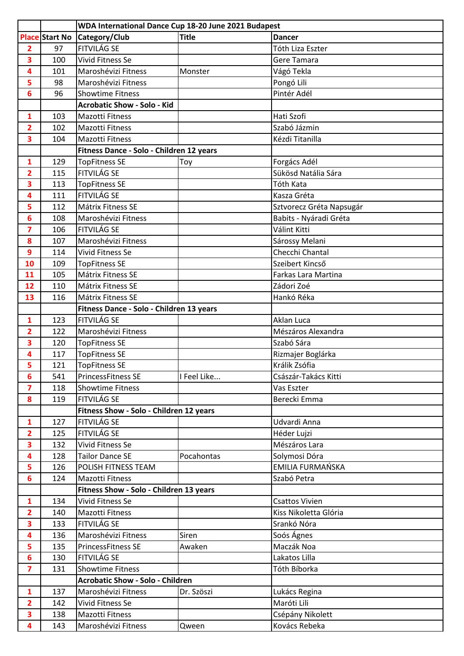|                         |                       | WDA International Dance Cup 18-20 June 2021 Budapest |              |                          |
|-------------------------|-----------------------|------------------------------------------------------|--------------|--------------------------|
|                         | <b>Place Start No</b> | Category/Club                                        | <b>Title</b> | <b>Dancer</b>            |
| $\overline{2}$          | 97                    | FITVILÁG SE                                          |              | Tóth Liza Eszter         |
| 3                       | 100                   | Vivid Fitness Se                                     |              | Gere Tamara              |
| 4                       | 101                   | Maroshévizi Fitness                                  | Monster      | Vágó Tekla               |
| 5                       | 98                    | Maroshévizi Fitness                                  |              | Pongó Lili               |
| $6\phantom{1}$          | 96                    | <b>Showtime Fitness</b>                              |              | Pintér Adél              |
|                         |                       | <b>Acrobatic Show - Solo - Kid</b>                   |              |                          |
| $\mathbf{1}$            | 103                   | <b>Mazotti Fitness</b>                               |              | Hati Szofi               |
| 2                       | 102                   | <b>Mazotti Fitness</b>                               |              | Szabó Jázmin             |
| 3                       | 104                   | <b>Mazotti Fitness</b>                               |              | Kézdi Titanilla          |
|                         |                       | Fitness Dance - Solo - Children 12 years             |              |                          |
| $\mathbf{1}$            | 129                   | <b>TopFitness SE</b>                                 | Toy          | Forgács Adél             |
| $\overline{2}$          | 115                   | <b>FITVILÁG SE</b>                                   |              | Sükösd Natália Sára      |
| 3                       | 113                   | <b>TopFitness SE</b>                                 |              | Tóth Kata                |
| 4                       | 111                   | <b>FITVILÁG SE</b>                                   |              | Kasza Gréta              |
| 5                       | 112                   | Mátrix Fitness SE                                    |              | Sztvorecz Gréta Napsugár |
| 6                       | 108                   | Maroshévizi Fitness                                  |              | Babits - Nyáradi Gréta   |
| $\overline{\mathbf{z}}$ | 106                   | <b>FITVILÁG SE</b>                                   |              | Válint Kitti             |
| 8                       | 107                   | Maroshévizi Fitness                                  |              | Sárossy Melani           |
| 9                       | 114                   | Vivid Fitness Se                                     |              | Checchi Chantal          |
| 10                      | 109                   | <b>TopFitness SE</b>                                 |              | Szeibert Kincső          |
| 11                      | 105                   | Mátrix Fitness SE                                    |              | Farkas Lara Martina      |
| 12                      | 110                   | Mátrix Fitness SE                                    |              | Zádori Zoé               |
| 13                      | 116                   | Mátrix Fitness SE                                    |              | Hankó Réka               |
|                         |                       | Fitness Dance - Solo - Children 13 years             |              |                          |
| $\mathbf{1}$            | 123                   | <b>FITVILÁG SE</b>                                   |              | Aklan Luca               |
| $\overline{2}$          | 122                   | Maroshévizi Fitness                                  |              | Mészáros Alexandra       |
| 3                       | 120                   | <b>TopFitness SE</b>                                 |              | Szabó Sára               |
| 4                       | 117                   | <b>TopFitness SE</b>                                 |              | Rizmajer Boglárka        |
| 5                       | 121                   | <b>TopFitness SE</b>                                 |              | Králik Zsófia            |
| 6                       | 541                   | PrincessFitness SE                                   | I Feel Like  | Császár-Takács Kitti     |
| $\overline{\mathbf{z}}$ | 118                   | <b>Showtime Fitness</b>                              |              | Vas Eszter               |
| 8                       | 119                   | FITVILÁG SE                                          |              | Berecki Emma             |
|                         |                       | Fitness Show - Solo - Children 12 years              |              |                          |
| $\mathbf{1}$            | 127                   | FITVILÁG SE                                          |              | Udvardi Anna             |
| $\overline{2}$          | 125                   | FITVILÁG SE                                          |              | Héder Lujzi              |
| $\overline{\mathbf{3}}$ | 132                   | Vivid Fitness Se                                     |              | Mészáros Lara            |
| 4                       | 128                   | <b>Tailor Dance SE</b>                               | Pocahontas   | Solymosi Dóra            |
| 5                       | 126                   | POLISH FITNESS TEAM                                  |              | EMILIA FURMAŃSKA         |
| 6                       | 124                   | Mazotti Fitness                                      |              | Szabó Petra              |
|                         |                       | Fitness Show - Solo - Children 13 years              |              |                          |
| $\mathbf{1}$            | 134                   | Vivid Fitness Se                                     |              | <b>Csattos Vivien</b>    |
| $\overline{2}$          | 140                   | Mazotti Fitness                                      |              | Kiss Nikoletta Glória    |
| $\overline{\mathbf{3}}$ | 133                   | <b>FITVILÁG SE</b>                                   |              | Srankó Nóra              |
| 4                       | 136                   | Maroshévizi Fitness                                  | Siren        | Soós Ágnes               |
| 5                       | 135                   | PrincessFitness SE                                   | Awaken       | Maczák Noa               |
| 6                       | 130                   | FITVILÁG SE                                          |              | Lakatos Lilla            |
| $\overline{\mathbf{z}}$ | 131                   | <b>Showtime Fitness</b>                              |              | Tóth Bíborka             |
|                         |                       | <b>Acrobatic Show - Solo - Children</b>              |              |                          |
| $\mathbf{1}$            | 137                   | Maroshévizi Fitness                                  | Dr. Szöszi   | Lukács Regina            |
| $\overline{2}$          | 142                   | Vivid Fitness Se                                     |              | Maróti Lili              |
| 3                       | 138                   | Mazotti Fitness                                      |              | Csépány Nikolett         |
| 4                       | 143                   | Maroshévizi Fitness                                  | Qween        | Kovács Rebeka            |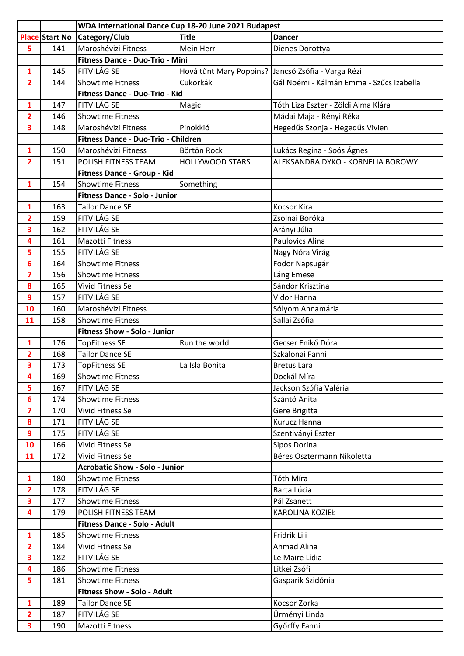|                         |                       | WDA International Dance Cup 18-20 June 2021 Budapest |                         |                                          |
|-------------------------|-----------------------|------------------------------------------------------|-------------------------|------------------------------------------|
|                         | <b>Place Start No</b> | Category/Club                                        | <b>Title</b>            | <b>Dancer</b>                            |
| 5                       | 141                   | Maroshévizi Fitness                                  | Mein Herr               | Dienes Dorottya                          |
|                         |                       | Fitness Dance - Duo-Trio - Mini                      |                         |                                          |
| $\mathbf{1}$            | 145                   | <b>FITVILÁG SE</b>                                   | Hová tűnt Mary Poppins? | Jancsó Zsófia - Varga Rézi               |
| $\overline{2}$          | 144                   | <b>Showtime Fitness</b>                              | Cukorkák                | Gál Noémi - Kálmán Emma - Szűcs Izabella |
|                         |                       | Fitness Dance - Duo-Trio - Kid                       |                         |                                          |
| 1                       | 147                   | <b>FITVILÁG SE</b>                                   | Magic                   | Tóth Liza Eszter - Zöldi Alma Klára      |
| $\overline{2}$          | 146                   | <b>Showtime Fitness</b>                              |                         | Mádai Maja - Rényi Réka                  |
| 3                       | 148                   | Maroshévizi Fitness                                  | Pinokkió                | Hegedűs Szonja - Hegedűs Vivien          |
|                         |                       | Fitness Dance - Duo-Trio - Children                  |                         |                                          |
| $\mathbf{1}$            | 150                   | Maroshévizi Fitness                                  | Börtön Rock             | Lukács Regina - Soós Ágnes               |
| $\overline{2}$          | 151                   | POLISH FITNESS TEAM                                  | <b>HOLLYWOOD STARS</b>  | ALEKSANDRA DYKO - KORNELIA BOROWY        |
|                         |                       | Fitness Dance - Group - Kid                          |                         |                                          |
| $\mathbf{1}$            | 154                   | <b>Showtime Fitness</b>                              | Something               |                                          |
|                         |                       | <b>Fitness Dance - Solo - Junior</b>                 |                         |                                          |
| 1                       | 163                   | <b>Tailor Dance SE</b>                               |                         | <b>Kocsor Kira</b>                       |
| $\overline{2}$          | 159                   | <b>FITVILÁG SE</b>                                   |                         | Zsolnai Boróka                           |
| 3                       | 162                   | <b>FITVILÁG SE</b>                                   |                         | Arányi Júlia                             |
| 4                       | 161                   | <b>Mazotti Fitness</b>                               |                         | Paulovics Alina                          |
| 5                       | 155                   | <b>FITVILÁG SE</b>                                   |                         | Nagy Nóra Virág                          |
| 6                       | 164                   | <b>Showtime Fitness</b>                              |                         | Fodor Napsugár                           |
| $\overline{\mathbf{z}}$ | 156                   | <b>Showtime Fitness</b>                              |                         | Láng Emese                               |
| 8                       | 165                   | <b>Vivid Fitness Se</b>                              |                         | Sándor Krisztina                         |
| 9                       | 157                   | <b>FITVILÁG SE</b>                                   |                         | Vidor Hanna                              |
| 10                      | 160                   | Maroshévizi Fitness                                  |                         | Sólyom Annamária                         |
| 11                      | 158                   | <b>Showtime Fitness</b>                              |                         | Sallai Zsófia                            |
|                         |                       | Fitness Show - Solo - Junior                         |                         |                                          |
| 1                       | 176                   | <b>TopFitness SE</b>                                 | Run the world           | Gecser Enikő Dóra                        |
| $\overline{2}$          | 168                   | <b>Tailor Dance SE</b>                               |                         | Szkalonai Fanni                          |
| 3                       | 173                   | <b>TopFitness SE</b>                                 | La Isla Bonita          | <b>Bretus Lara</b>                       |
| 4                       | 169                   | <b>Showtime Fitness</b>                              |                         | Dockál Míra                              |
| 5                       | 167                   | <b>FITVILÁG SE</b>                                   |                         | Jackson Szófia Valéria                   |
| 6                       | 174                   | <b>Showtime Fitness</b>                              |                         | Szántó Anita                             |
| $\overline{\mathbf{z}}$ | 170                   | Vivid Fitness Se                                     |                         | Gere Brigitta                            |
| 8                       | 171                   | FITVILÁG SE                                          |                         | Kurucz Hanna                             |
| 9                       | 175                   | FITVILÁG SE                                          |                         | Szentiványi Eszter                       |
| 10                      | 166                   | Vivid Fitness Se                                     |                         | Sipos Dorina                             |
| 11                      | 172                   | Vivid Fitness Se                                     |                         | Béres Osztermann Nikoletta               |
|                         |                       | <b>Acrobatic Show - Solo - Junior</b>                |                         |                                          |
| $\mathbf{1}$            | 180                   | <b>Showtime Fitness</b>                              |                         | Tóth Míra                                |
| $\overline{2}$          | 178                   | <b>FITVILÁG SE</b>                                   |                         | Barta Lúcia                              |
| 3                       | 177                   | <b>Showtime Fitness</b>                              |                         | Pál Zsanett                              |
| 4                       | 179                   | POLISH FITNESS TEAM                                  |                         | KAROLINA KOZIEŁ                          |
|                         |                       | <b>Fitness Dance - Solo - Adult</b>                  |                         |                                          |
| $\mathbf{1}$            | 185                   | <b>Showtime Fitness</b>                              |                         | Fridrik Lili                             |
| $\overline{2}$          | 184                   | Vivid Fitness Se                                     |                         | <b>Ahmad Alina</b>                       |
| 3                       | 182                   | FITVILÁG SE                                          |                         | Le Maire Lídia                           |
| 4                       | 186                   | <b>Showtime Fitness</b>                              |                         | Litkei Zsófi                             |
|                         |                       |                                                      |                         |                                          |
| 5                       | 181                   | <b>Showtime Fitness</b>                              |                         | Gasparik Szidónia                        |
|                         |                       | <b>Fitness Show - Solo - Adult</b>                   |                         |                                          |
| 1                       | 189                   | <b>Tailor Dance SE</b>                               |                         | Kocsor Zorka                             |
| $\overline{2}$          | 187                   | FITVILÁG SE                                          |                         | Ürményi Linda                            |
| 3                       | 190                   | <b>Mazotti Fitness</b>                               |                         | Győrffy Fanni                            |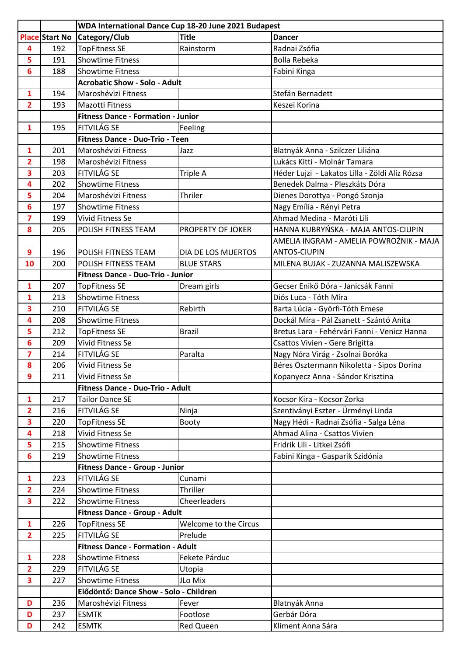|                         |                       | WDA International Dance Cup 18-20 June 2021 Budapest |                       |                                                |
|-------------------------|-----------------------|------------------------------------------------------|-----------------------|------------------------------------------------|
|                         | <b>Place Start No</b> | Category/Club                                        | <b>Title</b>          | <b>Dancer</b>                                  |
| 4                       | 192                   | <b>TopFitness SE</b>                                 | Rainstorm             | Radnai Zsófia                                  |
| 5                       | 191                   | <b>Showtime Fitness</b>                              |                       | <b>Bolla Rebeka</b>                            |
| 6                       | 188                   | <b>Showtime Fitness</b>                              |                       | Fabini Kinga                                   |
|                         |                       | <b>Acrobatic Show - Solo - Adult</b>                 |                       |                                                |
| $\mathbf{1}$            | 194                   | Maroshévizi Fitness                                  |                       | Stefán Bernadett                               |
| $\overline{2}$          | 193                   | <b>Mazotti Fitness</b>                               |                       | Keszei Korina                                  |
|                         |                       | <b>Fitness Dance - Formation - Junior</b>            |                       |                                                |
| 1                       | 195                   | <b>FITVILÁG SE</b>                                   | Feeling               |                                                |
|                         |                       | Fitness Dance - Duo-Trio - Teen                      |                       |                                                |
| $\mathbf{1}$            | 201                   | Maroshévizi Fitness                                  | Jazz                  | Blatnyák Anna - Szilczer Liliána               |
| $\overline{\mathbf{2}}$ | 198                   | Maroshévizi Fitness                                  |                       | Lukács Kitti - Molnár Tamara                   |
| 3                       | 203                   | FITVILÁG SE                                          | Triple A              | Héder Lujzi - Lakatos Lilla - Zöldi Alíz Rózsa |
| 4                       | 202                   | <b>Showtime Fitness</b>                              |                       | Benedek Dalma - Pleszkáts Dóra                 |
| 5                       | 204                   | Maroshévizi Fitness                                  | Thriler               | Dienes Dorottya - Pongó Szonja                 |
| 6                       | 197                   | <b>Showtime Fitness</b>                              |                       | Nagy Emília - Rényi Petra                      |
| $\overline{\mathbf{z}}$ | 199                   | Vivid Fitness Se                                     |                       | Ahmad Medina - Maróti Lili                     |
| 8                       | 205                   | POLISH FITNESS TEAM                                  | PROPERTY OF JOKER     | HANNA KUBRYŃSKA - MAJA ANTOS-CIUPIN            |
|                         |                       |                                                      |                       | AMELIA INGRAM - AMELIA POWROŹNIK - MAJA        |
| 9                       | 196                   | POLISH FITNESS TEAM                                  | DIA DE LOS MUERTOS    | <b>ANTOS-CIUPIN</b>                            |
| 10                      | 200                   | POLISH FITNESS TEAM                                  | <b>BLUE STARS</b>     | MILENA BUJAK - ZUZANNA MALISZEWSKA             |
|                         |                       | Fitness Dance - Duo-Trio - Junior                    |                       |                                                |
| 1                       | 207                   | <b>TopFitness SE</b>                                 | Dream girls           | Gecser Enikő Dóra - Janicsák Fanni             |
| 1                       | 213                   | <b>Showtime Fitness</b>                              |                       | Diós Luca - Tóth Míra                          |
| 3                       | 210                   | <b>FITVILÁG SE</b>                                   | Rebirth               | Barta Lúcia - Györfi-Tóth Emese                |
| 4                       | 208                   | <b>Showtime Fitness</b>                              |                       | Dockál Míra - Pál Zsanett - Szántó Anita       |
| 5                       | 212                   | <b>TopFitness SE</b>                                 | <b>Brazil</b>         | Bretus Lara - Fehérvári Fanni - Venicz Hanna   |
| 6                       | 209                   | Vivid Fitness Se                                     |                       | Csattos Vivien - Gere Brigitta                 |
| $\overline{\mathbf{z}}$ | 214                   | FITVILÁG SE                                          | Paralta               | Nagy Nóra Virág - Zsolnai Boróka               |
| 8                       | 206                   | Vivid Fitness Se                                     |                       | Béres Osztermann Nikoletta - Sipos Dorina      |
| 9                       | 211                   | Vivid Fitness Se                                     |                       | Kopanyecz Anna - Sándor Krisztina              |
|                         |                       | Fitness Dance - Duo-Trio - Adult                     |                       |                                                |
| $\mathbf{1}$            | 217                   | <b>Tailor Dance SE</b>                               |                       | Kocsor Kira - Kocsor Zorka                     |
| $\overline{\mathbf{2}}$ | 216                   | <b>FITVILÁG SE</b>                                   | Ninja                 | Szentiványi Eszter - Ürményi Linda             |
| 3                       | 220                   | <b>TopFitness SE</b>                                 | Booty                 | Nagy Hédi - Radnai Zsófia - Salga Léna         |
| 4                       | 218                   | Vivid Fitness Se                                     |                       | Ahmad Alina - Csattos Vivien                   |
| 5                       | 215                   | <b>Showtime Fitness</b>                              |                       | Fridrik Lili - Litkei Zsófi                    |
| 6                       | 219                   | <b>Showtime Fitness</b>                              |                       | Fabini Kinga - Gasparik Szidónia               |
|                         |                       | <b>Fitness Dance - Group - Junior</b>                |                       |                                                |
| $\mathbf{1}$            | 223                   | <b>FITVILÁG SE</b>                                   | Cunami                |                                                |
| $\overline{2}$          | 224                   | <b>Showtime Fitness</b>                              | Thriller              |                                                |
| 3                       | 222                   | <b>Showtime Fitness</b>                              | Cheerleaders          |                                                |
|                         |                       | <b>Fitness Dance - Group - Adult</b>                 |                       |                                                |
| $\mathbf{1}$            | 226                   | <b>TopFitness SE</b>                                 | Welcome to the Circus |                                                |
| $\overline{2}$          | 225                   | FITVILÁG SE                                          | Prelude               |                                                |
|                         |                       | <b>Fitness Dance - Formation - Adult</b>             |                       |                                                |
| 1                       | 228                   | <b>Showtime Fitness</b>                              | Fekete Párduc         |                                                |
| $\overline{2}$          | 229                   | FITVILÁG SE                                          | Utopia                |                                                |
| 3                       | 227                   | <b>Showtime Fitness</b>                              | JLo Mix               |                                                |
|                         |                       | Elődöntő: Dance Show - Solo - Children               |                       |                                                |
| D                       | 236                   | Maroshévizi Fitness                                  | Fever                 | Blatnyák Anna                                  |
| D                       | 237                   | <b>ESMTK</b>                                         | Footlose              | Gerbár Dóra                                    |
| D                       | 242                   | <b>ESMTK</b>                                         | Red Queen             | Kliment Anna Sára                              |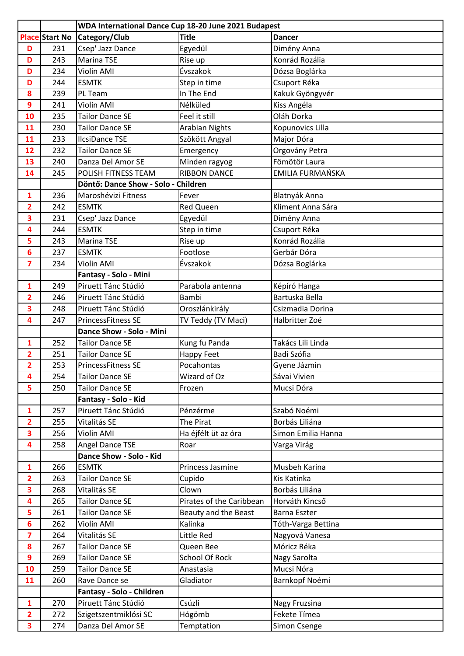|                         |                       | WDA International Dance Cup 18-20 June 2021 Budapest |                          |                     |  |
|-------------------------|-----------------------|------------------------------------------------------|--------------------------|---------------------|--|
|                         | <b>Place Start No</b> | Category/Club                                        | <b>Title</b>             | <b>Dancer</b>       |  |
| D                       | 231                   | Csep' Jazz Dance                                     | Egyedül                  | Dimény Anna         |  |
| D                       | 243                   | <b>Marina TSE</b>                                    | Rise up                  | Konrád Rozália      |  |
| D                       | 234                   | Violin AMI                                           | Évszakok                 | Dózsa Boglárka      |  |
| D                       | 244                   | <b>ESMTK</b>                                         | Step in time             | Csuport Réka        |  |
| 8                       | 239                   | PL Team                                              | In The End               | Kakuk Gyöngyvér     |  |
| 9                       | 241                   | Violin AMI                                           | Nélküled                 | Kiss Angéla         |  |
| 10                      | 235                   | <b>Tailor Dance SE</b>                               | Feel it still            | Oláh Dorka          |  |
| 11                      | 230                   | <b>Tailor Dance SE</b>                               | <b>Arabian Nights</b>    | Kopunovics Lilla    |  |
| 11                      | 233                   | <b>IlcsiDance TSE</b>                                | Szökött Angyal           | Major Dóra          |  |
| 12                      | 232                   | <b>Tailor Dance SE</b>                               | Emergency                | Orgovány Petra      |  |
| 13                      | 240                   | Danza Del Amor SE                                    | Minden ragyog            | Fömötör Laura       |  |
| 14                      | 245                   | POLISH FITNESS TEAM                                  | <b>RIBBON DANCE</b>      | EMILIA FURMAŃSKA    |  |
|                         |                       | Döntő: Dance Show - Solo - Children                  |                          |                     |  |
| $\mathbf{1}$            | 236                   | Maroshévizi Fitness                                  | Fever                    | Blatnyák Anna       |  |
| 2                       | 242                   | <b>ESMTK</b>                                         | <b>Red Queen</b>         | Kliment Anna Sára   |  |
| 3                       | 231                   | Csep' Jazz Dance                                     | Egyedül                  | Dimény Anna         |  |
| 4                       | 244                   | <b>ESMTK</b>                                         | Step in time             | Csuport Réka        |  |
| 5                       | 243                   | Marina TSE                                           | Rise up                  | Konrád Rozália      |  |
| 6                       | 237                   | <b>ESMTK</b>                                         | Footlose                 | Gerbár Dóra         |  |
| 7                       | 234                   | Violin AMI                                           | Évszakok                 | Dózsa Boglárka      |  |
|                         |                       | Fantasy - Solo - Mini                                |                          |                     |  |
| 1                       | 249                   | Piruett Tánc Stúdió                                  | Parabola antenna         | Képíró Hanga        |  |
| 2                       | 246                   | Piruett Tánc Stúdió                                  | Bambi                    | Bartuska Bella      |  |
| 3                       | 248                   | Piruett Tánc Stúdió                                  | Oroszlánkirály           | Csizmadia Dorina    |  |
| 4                       | 247                   | <b>PrincessFitness SE</b>                            | TV Teddy (TV Maci)       | Halbritter Zoé      |  |
|                         |                       | Dance Show - Solo - Mini                             |                          |                     |  |
| 1                       | 252                   | <b>Tailor Dance SE</b>                               | Kung fu Panda            | Takács Lili Linda   |  |
| 2                       | 251                   | <b>Tailor Dance SE</b>                               | <b>Happy Feet</b>        | Badi Szófia         |  |
| $\overline{2}$          | 253                   | <b>PrincessFitness SE</b>                            | Pocahontas               | Gyene Jázmin        |  |
| 4                       | 254                   | <b>Tailor Dance SE</b>                               | Wizard of Oz             | Sávai Vivien        |  |
| 5                       | 250                   | <b>Tailor Dance SE</b>                               | Frozen                   | Mucsi Dóra          |  |
|                         |                       | Fantasy - Solo - Kid                                 |                          |                     |  |
| $\mathbf{1}$            | 257                   | Piruett Tánc Stúdió                                  | Pénzérme                 | Szabó Noémi         |  |
| 2                       | 255                   | Vitalitás SE                                         | The Pirat                | Borbás Liliána      |  |
| 3                       | 256                   | Violin AMI                                           | Ha éjfélt üt az óra      | Simon Emilia Hanna  |  |
| 4                       | 258                   | Angel Dance TSE                                      | Roar                     | Varga Virág         |  |
|                         |                       | Dance Show - Solo - Kid                              |                          |                     |  |
| $\mathbf{1}$            | 266                   | <b>ESMTK</b>                                         | Princess Jasmine         | Musbeh Karina       |  |
| $\overline{\mathbf{2}}$ | 263                   | <b>Tailor Dance SE</b>                               | Cupido                   | Kis Katinka         |  |
| 3                       | 268                   | Vitalitás SE                                         | Clown                    | Borbás Liliána      |  |
| 4                       | 265                   | <b>Tailor Dance SE</b>                               | Pirates of the Caribbean | Horváth Kincső      |  |
| 5                       | 261                   | <b>Tailor Dance SE</b>                               | Beauty and the Beast     | <b>Barna Eszter</b> |  |
| 6                       | 262                   | Violin AMI                                           | Kalinka                  | Tóth-Varga Bettina  |  |
| 7                       | 264                   | Vitalitás SE                                         | Little Red               | Nagyová Vanesa      |  |
| 8                       | 267                   | <b>Tailor Dance SE</b>                               | Queen Bee                | Móricz Réka         |  |
| 9                       | 269                   | <b>Tailor Dance SE</b>                               | <b>School Of Rock</b>    | Nagy Sarolta        |  |
| 10                      | 259                   | <b>Tailor Dance SE</b>                               | Anastasia                | Mucsi Nóra          |  |
| 11                      | 260                   | Rave Dance se                                        | Gladiator                | Barnkopf Noémi      |  |
|                         |                       | Fantasy - Solo - Children                            |                          |                     |  |
| $\mathbf{1}$            | 270                   | Piruett Tánc Stúdió                                  | Csúzli                   | Nagy Fruzsina       |  |
| $\overline{\mathbf{2}}$ | 272                   | Szigetszentmiklósi SC                                | Hógömb                   | Fekete Tímea        |  |
| 3                       | 274                   | Danza Del Amor SE                                    | Temptation               | Simon Csenge        |  |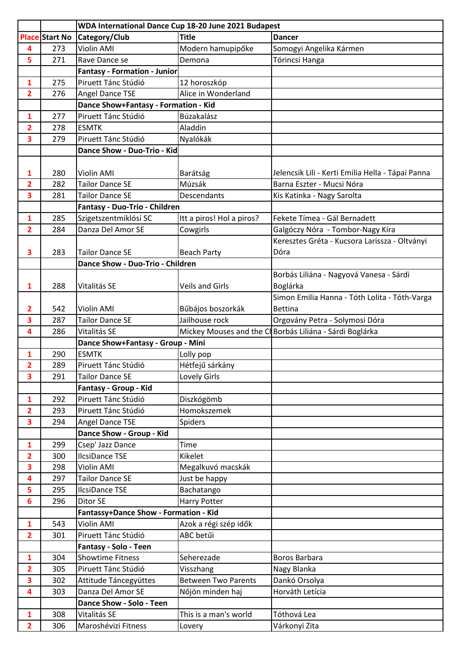|                         |                       | WDA International Dance Cup 18-20 June 2021 Budapest |                            |                                                          |
|-------------------------|-----------------------|------------------------------------------------------|----------------------------|----------------------------------------------------------|
|                         | <b>Place Start No</b> | Category/Club                                        | <b>Title</b>               | <b>Dancer</b>                                            |
| 4                       | 273                   | Violin AMI                                           | Modern hamupipőke          | Somogyi Angelika Kármen                                  |
| 5                       | 271                   | Rave Dance se                                        | Demona                     | Törincsi Hanga                                           |
|                         |                       | <b>Fantasy - Formation - Junior</b>                  |                            |                                                          |
| 1                       | 275                   | Piruett Tánc Stúdió                                  | 12 horoszkóp               |                                                          |
| $\overline{2}$          | 276                   | Angel Dance TSE                                      | Alice in Wonderland        |                                                          |
|                         |                       | Dance Show+Fantasy - Formation - Kid                 |                            |                                                          |
| 1                       | 277                   | Piruett Tánc Stúdió                                  | Búzakalász                 |                                                          |
| $\overline{2}$          | 278                   | <b>ESMTK</b>                                         | Aladdin                    |                                                          |
| 3                       | 279                   | Piruett Tánc Stúdió                                  | Nyalókák                   |                                                          |
|                         |                       | Dance Show - Duo-Trio - Kid                          |                            |                                                          |
|                         |                       |                                                      |                            |                                                          |
| 1                       | 280                   | Violin AMI                                           | Barátság                   | Jelencsik Lili - Kerti Emilia Hella - Tápai Panna        |
| 2                       | 282                   | <b>Tailor Dance SE</b>                               | Múzsák                     | Barna Eszter - Mucsi Nóra                                |
| 3                       | 281                   | <b>Tailor Dance SE</b>                               | Descendants                | Kis Katinka - Nagy Sarolta                               |
|                         |                       | Fantasy - Duo-Trio - Children                        |                            |                                                          |
| 1                       | 285                   | Szigetszentmiklósi SC                                | Itt a piros! Hol a piros?  | Fekete Tímea - Gál Bernadett                             |
| $\overline{2}$          | 284                   | Danza Del Amor SE                                    | Cowgirls                   | Galgóczy Nóra - Tombor-Nagy Kíra                         |
|                         |                       |                                                      |                            | Keresztes Gréta - Kucsora Larissza - Oltványi            |
| 3                       | 283                   | <b>Tailor Dance SE</b>                               | <b>Beach Party</b>         | Dóra                                                     |
|                         |                       | Dance Show - Duo-Trio - Children                     |                            |                                                          |
|                         |                       |                                                      |                            | Borbás Liliána - Nagyová Vanesa - Sárdi                  |
| 1                       | 288                   | Vitalitás SE                                         | <b>Veils and Girls</b>     | Boglárka                                                 |
|                         |                       |                                                      |                            | Simon Emilia Hanna - Tóth Lolita - Tóth-Varga            |
| $\overline{2}$          | 542                   | Violin AMI                                           | Bűbájos boszorkák          | <b>Bettina</b>                                           |
| 3                       | 287                   | <b>Tailor Dance SE</b>                               | Jailhouse rock             | Orgovány Petra - Solymosi Dóra                           |
| 4                       | 286                   | Vitalitás SE                                         |                            | Mickey Mouses and the Cl Borbás Liliána - Sárdi Boglárka |
|                         |                       | Dance Show+Fantasy - Group - Mini                    |                            |                                                          |
| 1                       | 290                   | <b>ESMTK</b>                                         | Lolly pop                  |                                                          |
| $\overline{2}$          | 289                   | Piruett Tánc Stúdió                                  | Hétfejű sárkány            |                                                          |
| 3                       | 291                   | <b>Tailor Dance SE</b>                               | Lovely Girls               |                                                          |
|                         |                       | Fantasy - Group - Kid                                |                            |                                                          |
| $\mathbf{1}$            | 292                   | Piruett Tánc Stúdió                                  | Diszkógömb                 |                                                          |
| $\overline{\mathbf{2}}$ | 293                   | Piruett Tánc Stúdió                                  | Homokszemek                |                                                          |
| 3                       | 294                   | <b>Angel Dance TSE</b>                               | Spiders                    |                                                          |
|                         |                       | Dance Show - Group - Kid                             |                            |                                                          |
| $\mathbf{1}$            | 299                   | Csep' Jazz Dance                                     | Time                       |                                                          |
| $\overline{\mathbf{2}}$ | 300                   | <b>IlcsiDance TSE</b>                                | Kikelet                    |                                                          |
| 3                       | 298                   | Violin AMI                                           | Megalkuvó macskák          |                                                          |
| 4                       | 297                   | <b>Tailor Dance SE</b>                               | Just be happy              |                                                          |
| 5                       | 295                   | <b>IlcsiDance TSE</b>                                | Bachatango                 |                                                          |
| 6                       | 296                   | Ditor SE                                             | <b>Harry Potter</b>        |                                                          |
|                         |                       | Fantassy+Dance Show - Formation - Kid                |                            |                                                          |
| $\mathbf{1}$            | 543                   | Violin AMI                                           | Azok a régi szép idők      |                                                          |
| $\overline{2}$          | 301                   | Piruett Tánc Stúdió                                  | ABC betűi                  |                                                          |
|                         |                       | Fantasy - Solo - Teen                                |                            |                                                          |
| 1                       | 304                   | <b>Showtime Fitness</b>                              | Seherezade                 | Boros Barbara                                            |
| $\overline{2}$          | 305                   | Piruett Tánc Stúdió                                  | Visszhang                  | Nagy Blanka                                              |
| 3                       | 302                   | Attitude Táncegyüttes                                | <b>Between Two Parents</b> | Dankó Orsolya                                            |
| 4                       | 303                   | Danza Del Amor SE                                    | Nőjön minden haj           | Horváth Letícia                                          |
|                         |                       | Dance Show - Solo - Teen                             |                            |                                                          |
| 1                       | 308                   | Vitalitás SE                                         | This is a man's world      | Tóthová Lea                                              |
| $\overline{2}$          | 306                   | Maroshévizi Fitness                                  | Lovery                     | Várkonyi Zita                                            |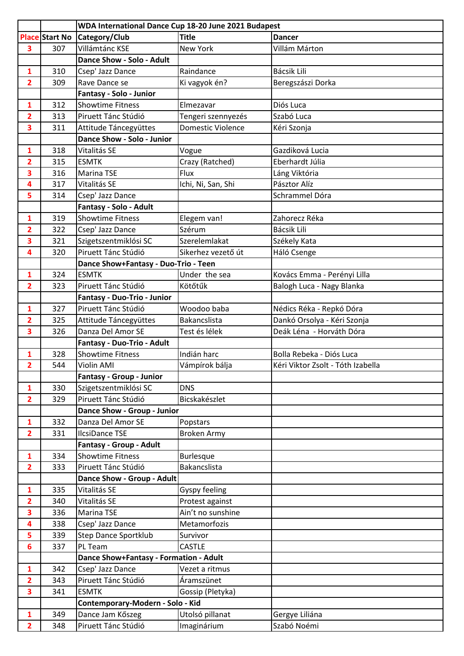|                         |                       | WDA International Dance Cup 18-20 June 2021 Budapest |                          |                                   |
|-------------------------|-----------------------|------------------------------------------------------|--------------------------|-----------------------------------|
|                         | <b>Place Start No</b> | Category/Club                                        | <b>Title</b>             | <b>Dancer</b>                     |
| 3                       | 307                   | Villámtánc KSE                                       | New York                 | Villám Márton                     |
|                         |                       | Dance Show - Solo - Adult                            |                          |                                   |
| 1                       | 310                   | Csep' Jazz Dance                                     | Raindance                | Bácsik Lili                       |
| $\overline{2}$          | 309                   | Rave Dance se                                        | Ki vagyok én?            | Beregszászi Dorka                 |
|                         |                       | Fantasy - Solo - Junior                              |                          |                                   |
| $\mathbf{1}$            | 312                   | <b>Showtime Fitness</b>                              | Elmezavar                | Diós Luca                         |
| $\overline{2}$          | 313                   | Piruett Tánc Stúdió                                  | Tengeri szennyezés       | Szabó Luca                        |
| 3                       | 311                   | Attitude Táncegyüttes                                | <b>Domestic Violence</b> | Kéri Szonja                       |
|                         |                       | Dance Show - Solo - Junior                           |                          |                                   |
| 1                       | 318                   | Vitalitás SE                                         | Vogue                    | Gazdiková Lucia                   |
| $\overline{\mathbf{2}}$ | 315                   | <b>ESMTK</b>                                         | Crazy (Ratched)          | Eberhardt Júlia                   |
| 3                       | 316                   | Marina TSE                                           | Flux                     | Láng Viktória                     |
| 4                       | 317                   | Vitalitás SE                                         | Ichi, Ni, San, Shi       | Pásztor Alíz                      |
| 5                       | 314                   | Csep' Jazz Dance                                     |                          | Schrammel Dóra                    |
|                         |                       | Fantasy - Solo - Adult                               |                          |                                   |
| $\mathbf{1}$            | 319                   | <b>Showtime Fitness</b>                              | Elegem van!              | Zahorecz Réka                     |
| $\overline{2}$          | 322                   | Csep' Jazz Dance                                     | Szérum                   | <b>Bácsik Lili</b>                |
| 3                       | 321                   | Szigetszentmiklósi SC                                | Szerelemlakat            | Székely Kata                      |
| 4                       | 320                   | Piruett Tánc Stúdió                                  | Sikerhez vezető út       | Háló Csenge                       |
|                         |                       | Dance Show+Fantasy - Duo-Trio - Teen                 |                          |                                   |
| $\mathbf{1}$            | 324                   | <b>ESMTK</b>                                         | Under the sea            | Kovács Emma - Perényi Lilla       |
| $\overline{2}$          | 323                   | Piruett Tánc Stúdió                                  | Kötőtűk                  | Balogh Luca - Nagy Blanka         |
|                         |                       | Fantasy - Duo-Trio - Junior                          |                          |                                   |
| $\mathbf{1}$            | 327                   | Piruett Tánc Stúdió                                  | Woodoo baba              | Nédics Réka - Repkó Dóra          |
| $\overline{\mathbf{2}}$ | 325                   | Attitude Táncegyüttes                                | <b>Bakancslista</b>      | Dankó Orsolya - Kéri Szonja       |
| 3                       | 326                   | Danza Del Amor SE                                    | Test és lélek            | Deák Léna - Horváth Dóra          |
|                         |                       | Fantasy - Duo-Trio - Adult                           |                          |                                   |
| 1                       | 328                   | <b>Showtime Fitness</b>                              | Indián harc              | Bolla Rebeka - Diós Luca          |
| $\overline{2}$          | 544                   | Violin AMI                                           | Vámpírok bálja           | Kéri Viktor Zsolt - Tóth Izabella |
|                         |                       | <b>Fantasy - Group - Junior</b>                      |                          |                                   |
| $\mathbf{1}$            | 330                   | Szigetszentmiklósi SC                                | <b>DNS</b>               |                                   |
| $\overline{2}$          | 329                   | Piruett Tánc Stúdió                                  | Bicskakészlet            |                                   |
|                         |                       | <b>Dance Show - Group - Junior</b>                   |                          |                                   |
| 1                       | 332                   | Danza Del Amor SE                                    | Popstars                 |                                   |
| $\mathbf{2}$            | 331                   | <b>IlcsiDance TSE</b>                                | <b>Broken Army</b>       |                                   |
|                         |                       | Fantasy - Group - Adult                              |                          |                                   |
| $\mathbf{1}$            | 334                   | <b>Showtime Fitness</b>                              | <b>Burlesque</b>         |                                   |
| $\overline{2}$          | 333                   | Piruett Tánc Stúdió                                  | Bakancslista             |                                   |
|                         |                       | Dance Show - Group - Adult                           |                          |                                   |
| 1                       | 335                   | Vitalitás SE                                         | Gyspy feeling            |                                   |
| $\overline{2}$          | 340                   | Vitalitás SE                                         | Protest against          |                                   |
| 3                       | 336                   | Marina TSE                                           | Ain't no sunshine        |                                   |
| 4                       | 338                   | Csep' Jazz Dance                                     | Metamorfozis             |                                   |
| 5                       | 339                   | <b>Step Dance Sportklub</b>                          | Survivor                 |                                   |
| 6                       | 337                   | PL Team                                              | <b>CASTLE</b>            |                                   |
|                         |                       | Dance Show+Fantasy - Formation - Adult               |                          |                                   |
| $\mathbf{1}$            | 342                   | Csep' Jazz Dance                                     | Vezet a ritmus           |                                   |
| $\overline{2}$          | 343                   | Piruett Tánc Stúdió                                  | Áramszünet               |                                   |
| 3                       | 341                   | <b>ESMTK</b>                                         | Gossip (Pletyka)         |                                   |
|                         |                       | Contemporary-Modern - Solo - Kid                     |                          |                                   |
| 1                       | 349                   | Dance Jam Kőszeg                                     | Utolsó pillanat          | Gergye Liliána                    |
| $\overline{2}$          | 348                   | Piruett Tánc Stúdió                                  | Imaginárium              | Szabó Noémi                       |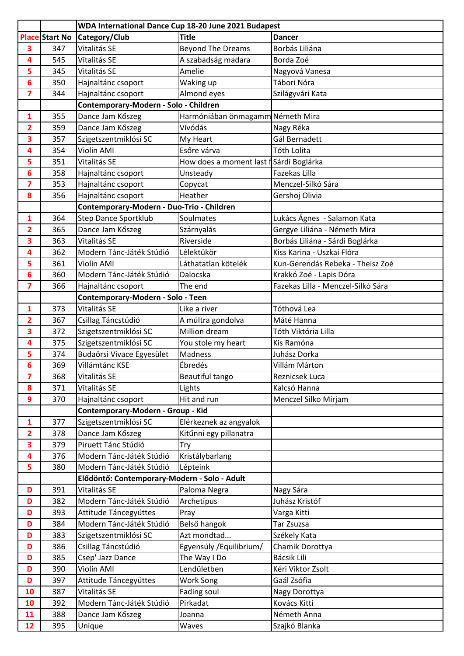|                |                       | WDA International Dance Cup 18-20 June 2021 Budapest |                                        |                                    |
|----------------|-----------------------|------------------------------------------------------|----------------------------------------|------------------------------------|
|                | <b>Place Start No</b> | Category/Club                                        | <b>Title</b>                           | <b>Dancer</b>                      |
| 3              | 347                   | Vitalitás SE                                         | <b>Beyond The Dreams</b>               | Borbás Liliána                     |
| 4              | 545                   | Vitalitás SE                                         | A szabadság madara                     | Borda Zoé                          |
| 5              | 345                   | Vitalitás SE                                         | Amelie                                 | Nagyová Vanesa                     |
| 6              | 350                   | Hajnaltánc csoport                                   | Waking up                              | Tábori Nóra                        |
| 7              | 344                   | Hajnaltánc csoport                                   | Almond eyes                            | Szilágyvári Kata                   |
|                |                       | Contemporary-Modern - Solo - Children                |                                        |                                    |
| 1              | 355                   | Dance Jam Kőszeg                                     | Harmóniában önmagamm Németh Mira       |                                    |
| 2              | 359                   | Dance Jam Kőszeg                                     | Vívódás                                | Nagy Réka                          |
| 3              | 357                   | Szigetszentmiklósi SC                                | My Heart                               | Gál Bernadett                      |
| 4              | 354                   | Violin AMI                                           | Esőre várva                            | Tóth Lolita                        |
| 5              | 351                   | Vitalitás SE                                         | How does a moment last fSárdi Boglárka |                                    |
| 6              | 358                   | Hajnaltánc csoport                                   | Unsteady                               | Fazekas Lilla                      |
| 7              | 353                   | Hajnaltánc csoport                                   | Copycat                                | Menczel-Silkó Sára                 |
| 8              | 356                   | Hajnaltánc csoport                                   | Heather                                | Gershoj Olivia                     |
|                |                       | Contemporary-Modern - Duo-Trio - Children            |                                        |                                    |
| 1              | 364                   | <b>Step Dance Sportklub</b>                          | Soulmates                              | Lukács Ágnes - Salamon Kata        |
| $\overline{2}$ | 365                   | Dance Jam Kőszeg                                     | Szárnyalás                             | Gergye Liliána - Németh Mira       |
| 3              | 363                   | Vitalitás SE                                         | Riverside                              | Borbás Liliána - Sárdi Boglárka    |
| 4              | 362                   | Modern Tánc-Játék Stúdió                             | Lélektükör                             | Kiss Karina - Uszkai Flóra         |
| 5              | 361                   | Violin AMI                                           | Láthatatlan kötelék                    | Kun-Gerendás Rebeka - Theisz Zoé   |
| 6              | 360                   | Modern Tánc-Játék Stúdió                             | Dalocska                               | Krakkó Zoé - Lapis Dóra            |
| 7              | 366                   | Hajnaltánc csoport                                   | The end                                | Fazekas Lilla - Menczel-Silkó Sára |
|                |                       | Contemporary-Modern - Solo - Teen                    |                                        |                                    |
| 1              | 373                   | Vitalitás SE                                         | Like a river                           | Tóthová Lea                        |
| 2              | 367                   | Csillag Táncstúdió                                   | A múltra gondolva                      | Máté Hanna                         |
| 3              | 372                   | Szigetszentmiklósi SC                                | Million dream                          | Tóth Viktória Lilla                |
| 4              | 375                   | Szigetszentmiklósi SC                                | You stole my heart                     | Kis Ramóna                         |
| 5              | 374                   | Budaörsi Vivace Egyesület                            | Madness                                | Juhász Dorka                       |
| 6              | 369                   | Villámtánc KSE                                       | Ébredés                                | Villám Márton                      |
| 7              | 368                   | Vitalitás SE                                         | Beautiful tango                        | Reznicsek Luca                     |
| 8              | 371                   | Vitalitás SE                                         | Lights                                 | Kalcsó Hanna                       |
| 9              | 370                   | Hajnaltánc csoport                                   | Hit and run                            | Menczel Silko Mirjam               |
|                |                       | Contemporary-Modern - Group - Kid                    |                                        |                                    |
| 1              | 377                   | Szigetszentmiklósi SC                                | Elérkeznek az angyalok                 |                                    |
| 2              | 378                   | Dance Jam Kőszeg                                     | Kitűnni egy pillanatra                 |                                    |
| 3              | 379                   | Piruett Tánc Stúdió                                  | Try                                    |                                    |
| 4              | 376                   | Modern Tánc-Játék Stúdió                             | Kristálybarlang                        |                                    |
| 5              | 380                   | Modern Tánc-Játék Stúdió                             | Lépteink                               |                                    |
|                |                       | Elődöntő: Contemporary-Modern - Solo - Adult         |                                        |                                    |
| D              | 391                   | Vitalitás SE                                         | Paloma Negra                           | Nagy Sára                          |
| D              | 382                   | Modern Tánc-Játék Stúdió                             | Archetipus                             | Juhász Kristóf                     |
| D              | 393                   | Attitude Táncegyüttes                                | Pray                                   | Varga Kitti                        |
| D              | 384                   | Modern Tánc-Játék Stúdió                             | Belső hangok                           | Tar Zsuzsa                         |
| D              | 383                   | Szigetszentmiklósi SC                                | Azt mondtad                            | Székely Kata                       |
| D              | 386                   | Csillag Táncstúdió                                   | Egyensúly / Equilibrium/               | Chamik Dorottya                    |
| D              | 385                   | Csep' Jazz Dance                                     | The Way I Do                           | Bácsik Lili                        |
| D              | 390                   | Violin AMI                                           | Lendületben                            | Kéri Viktor Zsolt<br>Gaál Zsófia   |
| D              | 397                   | Attitude Táncegyüttes<br>Vitalitás SE                | Work Song                              |                                    |
| 10<br>10       | 387<br>392            | Modern Tánc-Játék Stúdió                             | Fading soul<br>Pirkadat                | Nagy Dorottya<br>Kovács Kitti      |
| 11             | 388                   |                                                      |                                        | Németh Anna                        |
|                | 395                   | Dance Jam Kőszeg                                     | Joanna                                 |                                    |
| 12             |                       | Unique                                               | Waves                                  | Szajkó Blanka                      |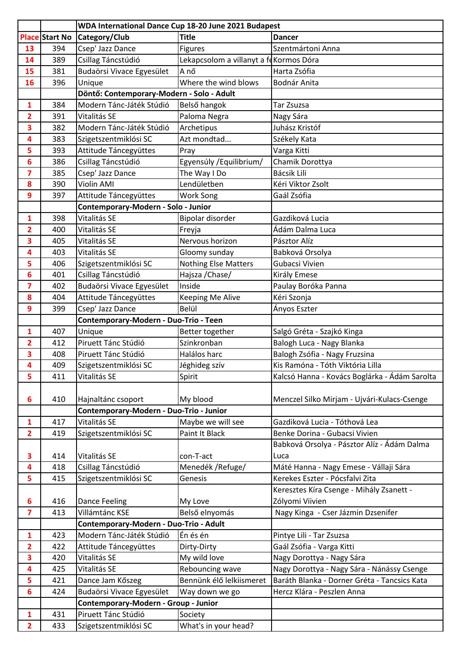|                         |                       | WDA International Dance Cup 18-20 June 2021 Budapest |                                         |                                               |
|-------------------------|-----------------------|------------------------------------------------------|-----------------------------------------|-----------------------------------------------|
|                         | <b>Place Start No</b> | Category/Club                                        | <b>Title</b>                            | <b>Dancer</b>                                 |
| 13                      | 394                   | Csep' Jazz Dance                                     | <b>Figures</b>                          | Szentmártoni Anna                             |
| 14                      | 389                   | Csillag Táncstúdió                                   | Lekapcsolom a villanyt a fe Kormos Dóra |                                               |
| 15                      | 381                   | Budaörsi Vivace Egyesület                            | A nő                                    | Harta Zsófia                                  |
| 16                      | 396                   | Unique                                               | Where the wind blows                    | Bodnár Anita                                  |
|                         |                       | Döntő: Contemporary-Modern - Solo - Adult            |                                         |                                               |
| $\mathbf{1}$            | 384                   | Modern Tánc-Játék Stúdió                             | Belső hangok                            | Tar Zsuzsa                                    |
| $\overline{2}$          | 391                   | Vitalitás SE                                         | Paloma Negra                            | Nagy Sára                                     |
| 3                       | 382                   | Modern Tánc-Játék Stúdió                             | Archetipus                              | Juhász Kristóf                                |
| 4                       | 383                   | Szigetszentmiklósi SC                                | Azt mondtad                             | Székely Kata                                  |
| 5                       | 393                   | Attitude Táncegyüttes                                | Pray                                    | Varga Kitti                                   |
| 6                       | 386                   | Csillag Táncstúdió                                   | Egyensúly / Equilibrium/                | Chamik Dorottya                               |
| 7                       | 385                   | Csep' Jazz Dance                                     | The Way I Do                            | <b>Bácsik Lili</b>                            |
| 8                       | 390                   | Violin AMI                                           | Lendületben                             | Kéri Viktor Zsolt                             |
| 9                       | 397                   | Attitude Táncegyüttes                                | Work Song                               | Gaál Zsófia                                   |
|                         |                       | Contemporary-Modern - Solo - Junior                  |                                         |                                               |
| 1                       | 398                   | Vitalitás SE                                         | Bipolar disorder                        | Gazdiková Lucia                               |
| $\overline{2}$          | 400                   | Vitalitás SE                                         | Freyja                                  | Ádám Dalma Luca                               |
| 3                       | 405                   | Vitalitás SE                                         | Nervous horizon                         | Pásztor Alíz                                  |
| 4                       | 403                   | Vitalitás SE                                         | Gloomy sunday                           | Babková Orsolya                               |
| 5                       | 406                   | Szigetszentmiklósi SC                                | <b>Nothing Else Matters</b>             | Gubacsi Vivien                                |
| 6                       | 401                   | Csillag Táncstúdió                                   | Hajsza / Chase/                         | Király Emese                                  |
| $\overline{\mathbf{z}}$ | 402                   | Budaörsi Vivace Egyesület                            | Inside                                  | Paulay Boróka Panna                           |
| 8                       | 404                   | Attitude Táncegyüttes                                | Keeping Me Alive                        | Kéri Szonja                                   |
| 9                       | 399                   | Csep' Jazz Dance                                     | Belül                                   | Ányos Eszter                                  |
|                         |                       | Contemporary-Modern - Duo-Trio - Teen                |                                         |                                               |
| 1                       | 407                   | Unique                                               | Better together                         | Salgó Gréta - Szajkó Kinga                    |
| $\overline{\mathbf{2}}$ | 412                   | Piruett Tánc Stúdió                                  | Szinkronban                             | Balogh Luca - Nagy Blanka                     |
| 3                       | 408                   | Piruett Tánc Stúdió                                  | Halálos harc                            | Balogh Zsófia - Nagy Fruzsina                 |
| 4                       | 409                   | Szigetszentmiklósi SC                                | Jéghideg szív                           | Kis Ramóna - Tóth Viktória Lilla              |
| 5                       | 411                   | Vitalitás SE                                         | Spirit                                  | Kalcsó Hanna - Kovács Boglárka - Ádám Sarolta |
| 6                       | 410                   | Hajnaltánc csoport                                   | My blood                                | Menczel Silko Mirjam - Ujvári-Kulacs-Csenge   |
|                         |                       | Contemporary-Modern - Duo-Trio - Junior              |                                         |                                               |
| $\mathbf{1}$            | 417                   | Vitalitás SE                                         | Maybe we will see                       | Gazdiková Lucia - Tóthová Lea                 |
| $\overline{2}$          | 419                   | Szigetszentmiklósi SC                                | Paint It Black                          | Benke Dorina - Gubacsi Vivien                 |
|                         |                       |                                                      |                                         | Babková Orsolya - Pásztor Alíz - Ádám Dalma   |
| 3                       | 414                   | Vitalitás SE                                         | con-T-act                               | Luca                                          |
| 4                       | 418                   | Csillag Táncstúdió                                   | Menedék / Refuge/                       | Máté Hanna - Nagy Emese - Vállaji Sára        |
| 5                       | 415                   | Szigetszentmiklósi SC                                | Genesis                                 | Kerekes Eszter - Pócsfalvi Zita               |
|                         |                       |                                                      |                                         | Keresztes Kíra Csenge - Mihály Zsanett -      |
| 6                       | 416                   | Dance Feeling                                        | My Love                                 | Zólyomi Viivien                               |
| $\overline{\mathbf{z}}$ | 413                   | Villámtánc KSE                                       | Belső elnyomás                          | Nagy Kinga - Cser Jázmin Dzsenifer            |
|                         |                       | Contemporary-Modern - Duo-Trio - Adult               |                                         |                                               |
| $\mathbf{1}$            | 423                   | Modern Tánc-Játék Stúdió                             | Én és én                                | Pintye Lili - Tar Zsuzsa                      |
| $\overline{2}$          | 422                   | Attitude Táncegyüttes                                | Dirty-Dirty                             | Gaál Zsófia - Varga Kitti                     |
| 3                       | 420                   | Vitalitás SE                                         | My wild love                            | Nagy Dorottya - Nagy Sára                     |
| 4                       | 425                   | Vitalitás SE                                         | Rebouncing wave                         | Nagy Dorottya - Nagy Sára - Nánássy Csenge    |
| 5                       | 421                   | Dance Jam Kőszeg                                     | Bennünk élő lelkiismeret                | Baráth Blanka - Dorner Gréta - Tancsics Kata  |
| $6\phantom{1}$          | 424                   | Budaörsi Vivace Egyesület                            | Way down we go                          | Hercz Klára - Peszlen Anna                    |
|                         |                       | Contemporary-Modern - Group - Junior                 |                                         |                                               |
| $\mathbf{1}$            | 431                   | Piruett Tánc Stúdió                                  | Society                                 |                                               |
| $\overline{2}$          | 433                   | Szigetszentmiklósi SC                                | What's in your head?                    |                                               |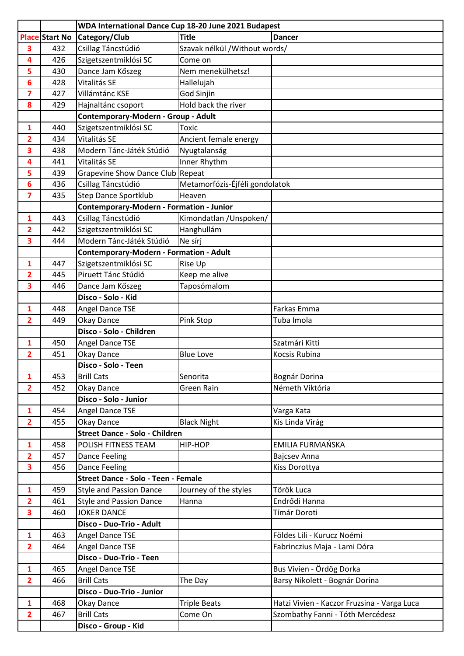|                         |                       | WDA International Dance Cup 18-20 June 2021 Budapest |                                |                                             |
|-------------------------|-----------------------|------------------------------------------------------|--------------------------------|---------------------------------------------|
|                         | <b>Place Start No</b> | Category/Club                                        | <b>Title</b>                   | <b>Dancer</b>                               |
| 3                       | 432                   | Csillag Táncstúdió                                   | Szavak nélkül / Without words/ |                                             |
| 4                       | 426                   | Szigetszentmiklósi SC                                | Come on                        |                                             |
| 5                       | 430                   | Dance Jam Kőszeg                                     | Nem menekülhetsz!              |                                             |
| 6                       | 428                   | Vitalitás SE                                         | Hallelujah                     |                                             |
| 7                       | 427                   | Villámtánc KSE                                       | God Sinjin                     |                                             |
| 8                       | 429                   | Hajnaltánc csoport                                   | Hold back the river            |                                             |
|                         |                       | Contemporary-Modern - Group - Adult                  |                                |                                             |
| 1                       | 440                   | Szigetszentmiklósi SC                                | Toxic                          |                                             |
| 2                       | 434                   | Vitalitás SE                                         | Ancient female energy          |                                             |
| $\overline{\mathbf{3}}$ | 438                   | Modern Tánc-Játék Stúdió                             | Nyugtalanság                   |                                             |
| 4                       | 441                   | Vitalitás SE                                         | Inner Rhythm                   |                                             |
| 5                       | 439                   | Grapevine Show Dance Club Repeat                     |                                |                                             |
| 6                       | 436                   | Csillag Táncstúdió                                   | Metamorfózis-Éjféli gondolatok |                                             |
| $\overline{7}$          | 435                   | <b>Step Dance Sportklub</b>                          | Heaven                         |                                             |
|                         |                       | <b>Contemporary-Modern - Formation - Junior</b>      |                                |                                             |
| 1                       | 443                   | Csillag Táncstúdió                                   | Kimondatlan / Unspoken/        |                                             |
| 2                       | 442                   | Szigetszentmiklósi SC                                | Hanghullám                     |                                             |
| 3                       | 444                   | Modern Tánc-Játék Stúdió                             | Ne sírj                        |                                             |
|                         |                       | Contemporary-Modern - Formation - Adult              |                                |                                             |
| 1                       | 447                   | Szigetszentmiklósi SC                                | Rise Up                        |                                             |
| $\overline{2}$          | 445                   | Piruett Tánc Stúdió                                  | Keep me alive                  |                                             |
| 3                       | 446                   | Dance Jam Kőszeg                                     | Taposómalom                    |                                             |
|                         |                       | Disco - Solo - Kid                                   |                                |                                             |
| 1                       | 448                   | Angel Dance TSE                                      |                                | Farkas Emma                                 |
| $\overline{2}$          | 449                   | Okay Dance                                           | Pink Stop                      | Tuba Imola                                  |
|                         |                       | Disco - Solo - Children                              |                                |                                             |
| 1                       | 450                   | Angel Dance TSE                                      |                                | Szatmári Kitti                              |
| 2                       | 451                   | Okay Dance                                           | <b>Blue Love</b>               | Kocsis Rubina                               |
|                         |                       | Disco - Solo - Teen                                  |                                |                                             |
| 1                       | 453                   | <b>Brill Cats</b>                                    | Senorita                       | Bognár Dorina                               |
| $\overline{2}$          | 452                   | Okay Dance                                           | Green Rain                     | Németh Viktória                             |
|                         |                       | Disco - Solo - Junior                                |                                |                                             |
| $\mathbf{1}$            | 454                   | Angel Dance TSE                                      |                                | Varga Kata                                  |
| $\overline{2}$          | 455                   | Okay Dance<br><b>Street Dance - Solo - Children</b>  | <b>Black Night</b>             | Kis Linda Virág                             |
| 1                       | 458                   | POLISH FITNESS TEAM                                  | HIP-HOP                        | EMILIA FURMAŃSKA                            |
| $\overline{2}$          | 457                   | Dance Feeling                                        |                                | <b>Bajcsev Anna</b>                         |
| 3                       | 456                   | <b>Dance Feeling</b>                                 |                                | Kiss Dorottya                               |
|                         |                       | Street Dance - Solo - Teen - Female                  |                                |                                             |
| $\mathbf{1}$            | 459                   | <b>Style and Passion Dance</b>                       | Journey of the styles          | Török Luca                                  |
| $\overline{2}$          | 461                   | <b>Style and Passion Dance</b>                       | Hanna                          | Endrődi Hanna                               |
| 3                       | 460                   | <b>JOKER DANCE</b>                                   |                                | Tímár Doroti                                |
|                         |                       | Disco - Duo-Trio - Adult                             |                                |                                             |
| $\mathbf{1}$            | 463                   | Angel Dance TSE                                      |                                | Földes Lili - Kurucz Noémi                  |
| $\overline{2}$          | 464                   | Angel Dance TSE                                      |                                | Fabrinczius Maja - Lami Dóra                |
|                         |                       | Disco - Duo-Trio - Teen                              |                                |                                             |
| $\mathbf{1}$            | 465                   | Angel Dance TSE                                      |                                | Bus Vivien - Ördög Dorka                    |
| $\overline{2}$          | 466                   | <b>Brill Cats</b>                                    | The Day                        | Barsy Nikolett - Bognár Dorina              |
|                         |                       | Disco - Duo-Trio - Junior                            |                                |                                             |
| $\mathbf{1}$            | 468                   | Okay Dance                                           | <b>Triple Beats</b>            | Hatzi Vivien - Kaczor Fruzsina - Varga Luca |
| $\overline{\mathbf{2}}$ | 467                   | <b>Brill Cats</b>                                    | Come On                        | Szombathy Fanni - Tóth Mercédesz            |
|                         |                       | Disco - Group - Kid                                  |                                |                                             |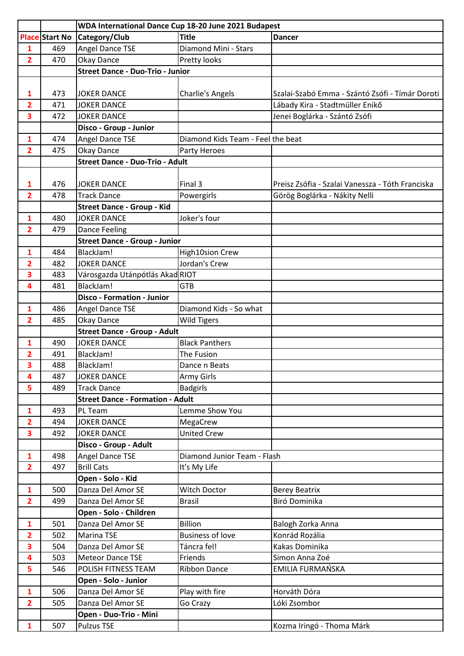|                         |                       | WDA International Dance Cup 18-20 June 2021 Budapest |                                   |                                                  |
|-------------------------|-----------------------|------------------------------------------------------|-----------------------------------|--------------------------------------------------|
|                         | <b>Place Start No</b> | Category/Club                                        | <b>Title</b>                      | <b>Dancer</b>                                    |
| $\mathbf{1}$            | 469                   | <b>Angel Dance TSE</b>                               | Diamond Mini - Stars              |                                                  |
| $\overline{2}$          | 470                   | Okay Dance                                           | Pretty looks                      |                                                  |
|                         |                       | <b>Street Dance - Duo-Trio - Junior</b>              |                                   |                                                  |
|                         |                       |                                                      |                                   |                                                  |
| 1                       | 473                   | <b>JOKER DANCE</b>                                   | <b>Charlie's Angels</b>           | Szalai-Szabó Emma - Szántó Zsófi - Tímár Doroti  |
| $\overline{\mathbf{2}}$ | 471                   | <b>JOKER DANCE</b>                                   |                                   | Lábady Kira - Stadtmüller Enikő                  |
| 3                       | 472                   | <b>JOKER DANCE</b>                                   |                                   | Jenei Boglárka - Szántó Zsófi                    |
|                         |                       | Disco - Group - Junior                               |                                   |                                                  |
| 1                       | 474                   | <b>Angel Dance TSE</b>                               | Diamond Kids Team - Feel the beat |                                                  |
| $\overline{2}$          | 475                   | Okay Dance                                           | Party Heroes                      |                                                  |
|                         |                       | <b>Street Dance - Duo-Trio - Adult</b>               |                                   |                                                  |
|                         |                       |                                                      |                                   |                                                  |
| 1                       | 476                   | <b>JOKER DANCE</b>                                   | Final 3                           | Preisz Zsófia - Szalai Vanessza - Tóth Franciska |
| $\overline{2}$          | 478                   | <b>Track Dance</b>                                   | Powergirls                        | Görög Boglárka - Nákity Nelli                    |
|                         |                       | <b>Street Dance - Group - Kid</b>                    |                                   |                                                  |
| 1                       | 480                   | <b>JOKER DANCE</b>                                   | Joker's four                      |                                                  |
| $\overline{2}$          | 479                   | <b>Dance Feeling</b>                                 |                                   |                                                  |
|                         |                       | <b>Street Dance - Group - Junior</b>                 |                                   |                                                  |
| 1                       | 484                   | BlackJam!                                            | <b>High10sion Crew</b>            |                                                  |
| 2                       | 482                   | <b>JOKER DANCE</b>                                   | Jordan's Crew                     |                                                  |
| 3                       | 483                   | Városgazda Utánpótlás AkadRIOT                       |                                   |                                                  |
| 4                       | 481                   | BlackJam!                                            | <b>GTB</b>                        |                                                  |
|                         |                       | <b>Disco - Formation - Junior</b>                    |                                   |                                                  |
| 1                       | 486                   | Angel Dance TSE                                      | Diamond Kids - So what            |                                                  |
| $\overline{2}$          | 485                   | Okay Dance                                           | <b>Wild Tigers</b>                |                                                  |
|                         |                       | <b>Street Dance - Group - Adult</b>                  |                                   |                                                  |
| 1                       | 490                   | <b>JOKER DANCE</b>                                   | <b>Black Panthers</b>             |                                                  |
| 2                       | 491                   | BlackJam!                                            | The Fusion                        |                                                  |
| $\overline{\mathbf{3}}$ | 488                   | BlackJam!                                            | Dance n Beats                     |                                                  |
| 4                       | 487                   | <b>JOKER DANCE</b>                                   | Army Girls                        |                                                  |
| 5                       | 489                   | <b>Track Dance</b>                                   | <b>Badgirls</b>                   |                                                  |
|                         |                       | <b>Street Dance - Formation - Adult</b>              |                                   |                                                  |
| 1                       | 493                   | PL Team                                              | Lemme Show You                    |                                                  |
| $\overline{2}$          | 494                   | <b>JOKER DANCE</b>                                   | MegaCrew                          |                                                  |
| 3                       | 492                   | <b>JOKER DANCE</b>                                   | <b>United Crew</b>                |                                                  |
|                         |                       | Disco - Group - Adult                                |                                   |                                                  |
| $\mathbf{1}$            | 498                   | Angel Dance TSE                                      | Diamond Junior Team - Flash       |                                                  |
| $\overline{2}$          | 497                   | <b>Brill Cats</b>                                    | It's My Life                      |                                                  |
|                         |                       | Open - Solo - Kid                                    |                                   |                                                  |
| 1                       | 500                   | Danza Del Amor SE                                    | Witch Doctor                      | <b>Berey Beatrix</b>                             |
| $\overline{2}$          | 499                   | Danza Del Amor SE                                    | <b>Brasil</b>                     | Biró Dominika                                    |
|                         |                       | Open - Solo - Children                               |                                   |                                                  |
| $\mathbf{1}$            | 501                   | Danza Del Amor SE                                    | <b>Billion</b>                    | Balogh Zorka Anna                                |
| $\overline{2}$          | 502                   | <b>Marina TSE</b>                                    | <b>Business of love</b>           | Konrád Rozália                                   |
| 3                       | 504                   | Danza Del Amor SE                                    | Táncra fel!                       | Kakas Dominika                                   |
| 4                       | 503                   | <b>Meteor Dance TSE</b>                              | Friends                           | Simon Anna Zoé                                   |
| 5                       | 546                   | POLISH FITNESS TEAM                                  | <b>Ribbon Dance</b>               | EMILIA FURMAŃSKA                                 |
|                         |                       | Open - Solo - Junior                                 |                                   |                                                  |
| 1                       | 506                   | Danza Del Amor SE                                    | Play with fire                    | Horváth Dóra                                     |
| $\overline{2}$          | 505                   | Danza Del Amor SE                                    | Go Crazy                          | Lóki Zsombor                                     |
|                         |                       | Open - Duo-Trio - Mini                               |                                   |                                                  |
| $\mathbf{1}$            | 507                   | <b>Pulzus TSE</b>                                    |                                   | Kozma Iringó - Thoma Márk                        |